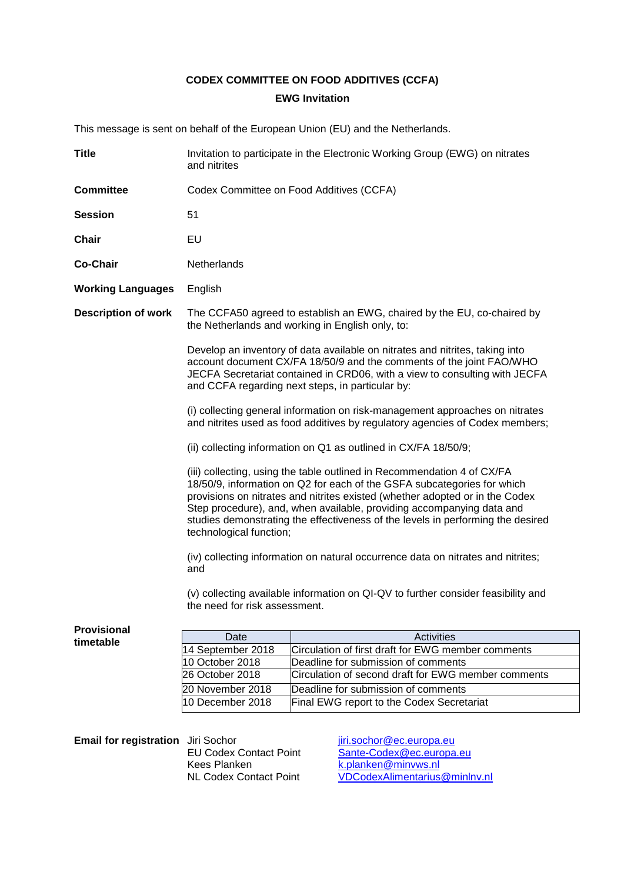# **CODEX COMMITTEE ON FOOD ADDITIVES (CCFA) EWG Invitation**

This message is sent on behalf of the European Union (EU) and the Netherlands.

| <b>Title</b>                       | Invitation to participate in the Electronic Working Group (EWG) on nitrates<br>and nitrites                                                                                                                                                                                                                                                                                                                               |                                                     |
|------------------------------------|---------------------------------------------------------------------------------------------------------------------------------------------------------------------------------------------------------------------------------------------------------------------------------------------------------------------------------------------------------------------------------------------------------------------------|-----------------------------------------------------|
| <b>Committee</b>                   | Codex Committee on Food Additives (CCFA)                                                                                                                                                                                                                                                                                                                                                                                  |                                                     |
| <b>Session</b>                     | 51                                                                                                                                                                                                                                                                                                                                                                                                                        |                                                     |
| <b>Chair</b>                       | EU                                                                                                                                                                                                                                                                                                                                                                                                                        |                                                     |
| <b>Co-Chair</b>                    | Netherlands                                                                                                                                                                                                                                                                                                                                                                                                               |                                                     |
| <b>Working Languages</b>           | English                                                                                                                                                                                                                                                                                                                                                                                                                   |                                                     |
| <b>Description of work</b>         | The CCFA50 agreed to establish an EWG, chaired by the EU, co-chaired by<br>the Netherlands and working in English only, to:                                                                                                                                                                                                                                                                                               |                                                     |
|                                    | Develop an inventory of data available on nitrates and nitrites, taking into<br>account document CX/FA 18/50/9 and the comments of the joint FAO/WHO<br>JECFA Secretariat contained in CRD06, with a view to consulting with JECFA<br>and CCFA regarding next steps, in particular by:                                                                                                                                    |                                                     |
|                                    | (i) collecting general information on risk-management approaches on nitrates<br>and nitrites used as food additives by regulatory agencies of Codex members;                                                                                                                                                                                                                                                              |                                                     |
|                                    | (ii) collecting information on Q1 as outlined in CX/FA 18/50/9;                                                                                                                                                                                                                                                                                                                                                           |                                                     |
|                                    | (iii) collecting, using the table outlined in Recommendation 4 of CX/FA<br>18/50/9, information on Q2 for each of the GSFA subcategories for which<br>provisions on nitrates and nitrites existed (whether adopted or in the Codex<br>Step procedure), and, when available, providing accompanying data and<br>studies demonstrating the effectiveness of the levels in performing the desired<br>technological function; |                                                     |
|                                    | (iv) collecting information on natural occurrence data on nitrates and nitrites;<br>and                                                                                                                                                                                                                                                                                                                                   |                                                     |
|                                    | (v) collecting available information on QI-QV to further consider feasibility and<br>the need for risk assessment.                                                                                                                                                                                                                                                                                                        |                                                     |
| <b>Provisional</b>                 | Date                                                                                                                                                                                                                                                                                                                                                                                                                      | Activities                                          |
| timetable                          | 14 September 2018                                                                                                                                                                                                                                                                                                                                                                                                         | Circulation of first draft for EWG member comments  |
|                                    | 10 October 2018                                                                                                                                                                                                                                                                                                                                                                                                           | Deadline for submission of comments                 |
|                                    | 26 October 2018                                                                                                                                                                                                                                                                                                                                                                                                           | Circulation of second draft for EWG member comments |
|                                    | 20 November 2018                                                                                                                                                                                                                                                                                                                                                                                                          | Deadline for submission of comments                 |
|                                    | 10 December 2018                                                                                                                                                                                                                                                                                                                                                                                                          | Final EWG report to the Codex Secretariat           |
|                                    |                                                                                                                                                                                                                                                                                                                                                                                                                           |                                                     |
| Email for registration Jiri Sochor |                                                                                                                                                                                                                                                                                                                                                                                                                           | jiri.sochor@ec.europa.eu                            |

Kees Planken [k.planken@minvws.nl](mailto:k.planken@minvws.nl)

EU Codex Contact Point [Sante-Codex@ec.europa.eu](mailto:Sante-Codex@ec.europa.eu) NL Codex Contact Point [VDCodexAlimentarius@minlnv.nl](mailto:VDCodexAlimentarius@minlnv.nl)